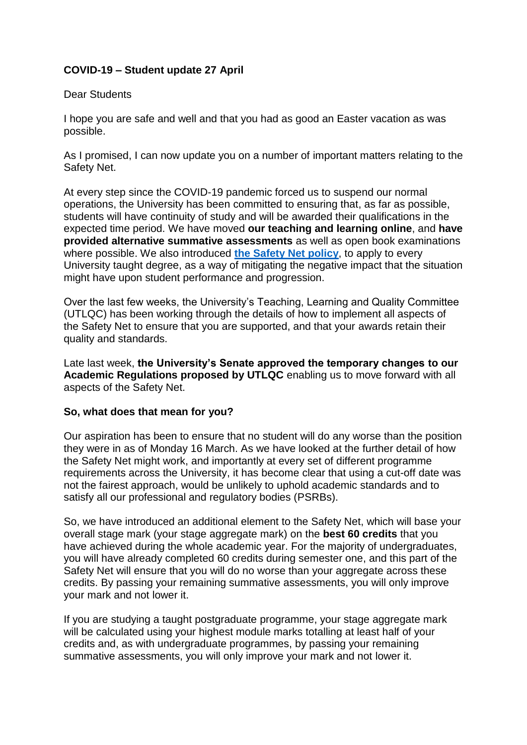## **COVID-19 – Student update 27 April**

## Dear Students

I hope you are safe and well and that you had as good an Easter vacation as was possible.

As I promised, I can now update you on a number of important matters relating to the Safety Net.

At every step since the COVID-19 pandemic forced us to suspend our normal operations, the University has been committed to ensuring that, as far as possible, students will have continuity of study and will be awarded their qualifications in the expected time period. We have moved **our teaching and learning online**, and **have provided alternative summative assessments** as well as open book examinations where possible. We also introduced **[the Safety Net policy](https://www.plymouth.ac.uk/about-us/about-us/coronavirus-faqs/student-teaching-learning)**, to apply to every University taught degree, as a way of mitigating the negative impact that the situation might have upon student performance and progression.

Over the last few weeks, the University's Teaching, Learning and Quality Committee (UTLQC) has been working through the details of how to implement all aspects of the Safety Net to ensure that you are supported, and that your awards retain their quality and standards.

Late last week, **the University's Senate approved the temporary changes to our Academic Regulations proposed by UTLQC** enabling us to move forward with all aspects of the Safety Net.

## **So, what does that mean for you?**

Our aspiration has been to ensure that no student will do any worse than the position they were in as of Monday 16 March. As we have looked at the further detail of how the Safety Net might work, and importantly at every set of different programme requirements across the University, it has become clear that using a cut-off date was not the fairest approach, would be unlikely to uphold academic standards and to satisfy all our professional and regulatory bodies (PSRBs).

So, we have introduced an additional element to the Safety Net, which will base your overall stage mark (your stage aggregate mark) on the **best 60 credits** that you have achieved during the whole academic year. For the majority of undergraduates, you will have already completed 60 credits during semester one, and this part of the Safety Net will ensure that you will do no worse than your aggregate across these credits. By passing your remaining summative assessments, you will only improve your mark and not lower it.

If you are studying a taught postgraduate programme, your stage aggregate mark will be calculated using your highest module marks totalling at least half of your credits and, as with undergraduate programmes, by passing your remaining summative assessments, you will only improve your mark and not lower it.